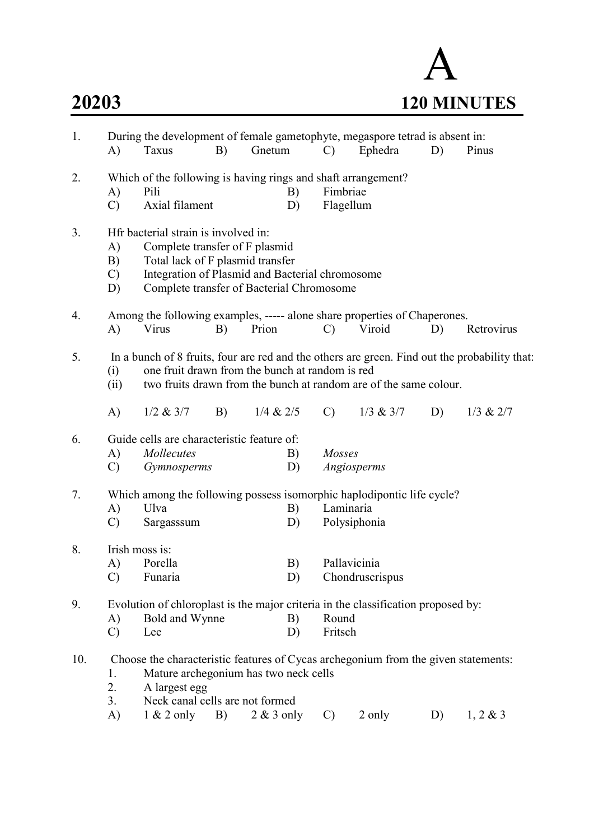

| 1.  | A)                              | During the development of female gametophyte, megaspore tetrad is absent in:<br>Taxus                                                                                                                                 | B) | Gnetum       |          | $\mathcal{C}$             | Ephedra         | D) | Pinus         |
|-----|---------------------------------|-----------------------------------------------------------------------------------------------------------------------------------------------------------------------------------------------------------------------|----|--------------|----------|---------------------------|-----------------|----|---------------|
| 2.  | A)<br>$\mathcal{C}$             | Which of the following is having rings and shaft arrangement?<br>Pili<br>Axial filament                                                                                                                               |    |              | B)<br>D) | Fimbriae<br>Flagellum     |                 |    |               |
| 3.  | A)<br>B)<br>$\mathcal{C}$<br>D) | Hfr bacterial strain is involved in:<br>Complete transfer of F plasmid<br>Total lack of F plasmid transfer<br>Integration of Plasmid and Bacterial chromosome<br>Complete transfer of Bacterial Chromosome            |    |              |          |                           |                 |    |               |
| 4.  | A)                              | Among the following examples, ----- alone share properties of Chaperones.<br>Virus                                                                                                                                    | B) | Prion        |          | $\mathcal{C}$             | Viroid          | D) | Retrovirus    |
| 5.  | (i)<br>(ii)                     | In a bunch of 8 fruits, four are red and the others are green. Find out the probability that:<br>one fruit drawn from the bunch at random is red<br>two fruits drawn from the bunch at random are of the same colour. |    |              |          |                           |                 |    |               |
|     | A)                              | $1/2$ & $3/7$                                                                                                                                                                                                         | B) | 1/4 & 2/5    |          | $\mathcal{C}$             | $1/3$ & $3/7$   | D) | $1/3$ & $2/7$ |
| 6.  | A)<br>$\mathcal{C}$             | Guide cells are characteristic feature of:<br><i>Mollecutes</i><br>Gymnosperms                                                                                                                                        |    |              | B)<br>D) | Mosses<br>Angiosperms     |                 |    |               |
| 7.  | A)<br>$\mathcal{C}$             | Which among the following possess isomorphic haplodipontic life cycle?<br>Ulva<br>Sargasssum                                                                                                                          |    |              | B)<br>D) | Laminaria<br>Polysiphonia |                 |    |               |
| 8.  | A)<br>$\mathcal{C}$             | Irish moss is:<br>Porella<br>Funaria                                                                                                                                                                                  |    |              | B)<br>D) | Pallavicinia              | Chondruscrispus |    |               |
| 9.  | A)<br>$\mathcal{C}$             | Evolution of chloroplast is the major criteria in the classification proposed by:<br>Bold and Wynne<br>Lee                                                                                                            |    |              | B)<br>D) | Round<br>Fritsch          |                 |    |               |
| 10. | 1.<br>2.<br>3.                  | Choose the characteristic features of Cycas archegonium from the given statements:<br>Mature archegonium has two neck cells<br>A largest egg<br>Neck canal cells are not formed                                       |    |              |          |                           |                 |    |               |
|     | A)                              | $1 \& 2$ only                                                                                                                                                                                                         | B) | $2 & 3$ only |          | $\mathcal{C}$             | 2 only          | D) | $1, 2 \& 3$   |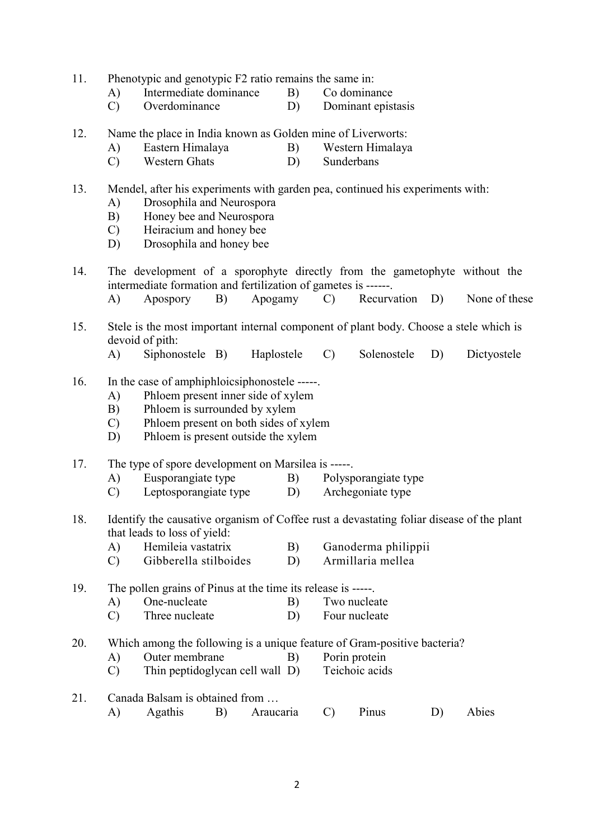- 11. Phenotypic and genotypic F2 ratio remains the same in:
	- A) Intermediate dominance B) Co dominance
	- C) Overdominance D) Dominant epistasis
- 12. Name the place in India known as Golden mine of Liverworts:
	- A) Eastern Himalaya B) Western Himalaya
	- C) Western Ghats D) Sunderbans

### 13. Mendel, after his experiments with garden pea, continued his experiments with:

- A) Drosophila and Neurospora
- B) Honey bee and Neurospora
- C) Heiracium and honey bee
- D) Drosophila and honey bee
- 14. The development of a sporophyte directly from the gametophyte without the intermediate formation and fertilization of gametes is ------.
	- A) Apospory B) Apogamy C) Recurvation D) None of these
- 15. Stele is the most important internal component of plant body. Choose a stele which is devoid of pith:
	- A) Siphonostele B) Haplostele C) Solenostele D) Dictyostele
- 16. In the case of amphiphloicsiphonostele -----.
	- A) Phloem present inner side of xylem
	- B) Phloem is surrounded by xylem
	- C) Phloem present on both sides of xylem
	- D) Phloem is present outside the xylem

### 17. The type of spore development on Marsilea is -----.

- A) Eusporangiate type B) Polysporangiate type
- C) Leptosporangiate type D) Archegoniate type
- 18. Identify the causative organism of Coffee rust a devastating foliar disease of the plant that leads to loss of yield:
	- A) Hemileia vastatrix B) Ganoderma philippii
	- C) Gibberella stilboides D) Armillaria mellea

19. The pollen grains of Pinus at the time its release is -----.

- A) One-nucleate B) Two nucleate
- C) Three nucleate D) Four nucleate
- 20. Which among the following is a unique feature of Gram-positive bacteria?
	- A) Outer membrane B) Porin protein
	- C) Thin peptidoglycan cell wall D) Teichoic acids

## 21. Canada Balsam is obtained from … A) Agathis B) Araucaria C) Pinus D) Abies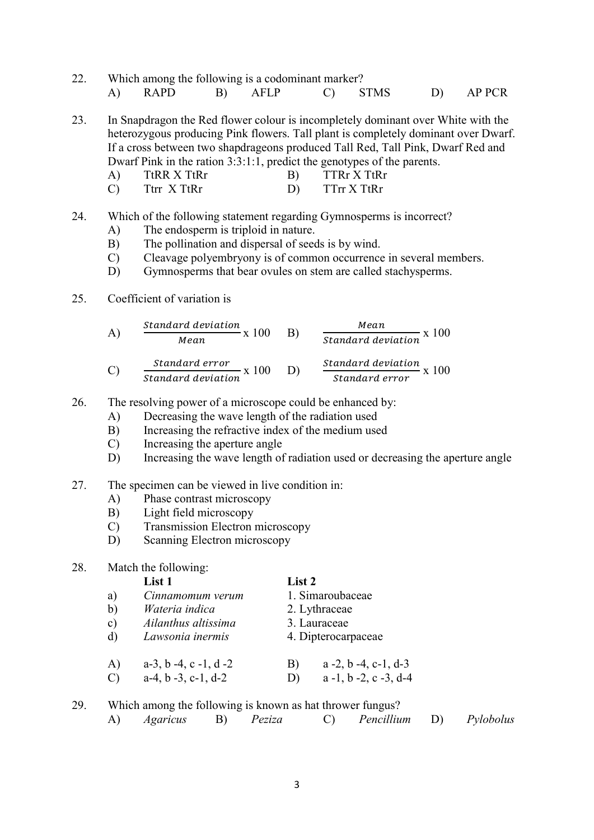22. Which among the following is a codominant marker? A) RAPD B) AFLP C) STMS D) AP PCR

23. In Snapdragon the Red flower colour is incompletely dominant over White with the heterozygous producing Pink flowers. Tall plant is completely dominant over Dwarf. If a cross between two shapdrageons produced Tall Red, Tall Pink, Dwarf Red and Dwarf Pink in the ration 3:3:1:1, predict the genotypes of the parents.

| TtRR X TtRr | $TTRr$ X $TtRr$ |
|-------------|-----------------|
| Ttrr X TtRr | TTrr X TtRr     |

### 24. Which of the following statement regarding Gymnosperms is incorrect?

- A) The endosperm is triploid in nature.
- B) The pollination and dispersal of seeds is by wind.
- C) Cleavage polyembryony is of common occurrence in several members.
- D) Gymnosperms that bear ovules on stem are called stachysperms.
- 25. Coefficient of variation is

A) Standard deviation 
$$
x(100)
$$

\nB)  $\frac{Mean}{Standard deviation} \times 100$ 

\nC) Standard deviation  $x(100)$ 

\nStandard deviation  $x(100)$ 

\nStandard deviation  $x(100)$ 

\nStandard deviation  $x(100)$ 

\nStandard error  $x(100)$ 

- 26. The resolving power of a microscope could be enhanced by:
	- A) Decreasing the wave length of the radiation used
	- B) Increasing the refractive index of the medium used
	- C) Increasing the aperture angle
	- D) Increasing the wave length of radiation used or decreasing the aperture angle
- 27. The specimen can be viewed in live condition in:
	- A) Phase contrast microscopy
	- B) Light field microscopy
	- C) Transmission Electron microscopy
	- D) Scanning Electron microscopy

## 28. Match the following:

## List 1 List 2

a) Cinnamomum verum 1. Simaroubaceae b) Wateria indica 2. Lythraceae c) Ailanthus altissima 3. Lauraceae d) Lawsonia inermis 4. Dipterocarpaceae A) a-3, b -4, c -1, d -2 B) a -2, b -4, c-1, d-3 C)  $a-4, b-3, c-1, d-2$  D)  $a-1, b-2, c-3, d-4$ 

## 29. Which among the following is known as hat thrower fungus?

A) Agaricus B) Peziza C) Pencillium D) Pylobolus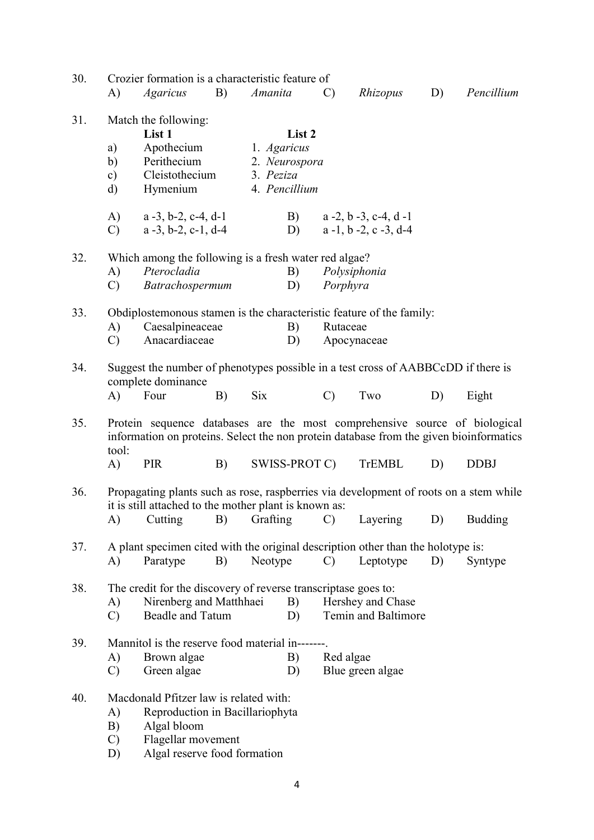| 30. | Crozier formation is a characteristic feature of                     |                                                                                                                                                                      |    |             |               |               |                                       |    |             |
|-----|----------------------------------------------------------------------|----------------------------------------------------------------------------------------------------------------------------------------------------------------------|----|-------------|---------------|---------------|---------------------------------------|----|-------------|
|     | A)                                                                   | <i>Agaricus</i>                                                                                                                                                      | B) | Amanita     |               | $\mathcal{C}$ | Rhizopus                              | D) | Pencillium  |
| 31. | Match the following:                                                 |                                                                                                                                                                      |    |             |               |               |                                       |    |             |
|     | List 1                                                               |                                                                                                                                                                      |    |             | List 2        |               |                                       |    |             |
|     | a)                                                                   | Apothecium                                                                                                                                                           |    | 1. Agaricus |               |               |                                       |    |             |
|     | b)                                                                   | Perithecium                                                                                                                                                          |    |             | 2. Neurospora |               |                                       |    |             |
|     | $\mathbf{c})$                                                        | Cleistothecium                                                                                                                                                       |    | 3. Peziza   |               |               |                                       |    |             |
|     | $\rm d)$                                                             | Hymenium                                                                                                                                                             |    |             | 4. Pencillium |               |                                       |    |             |
|     | A)                                                                   | $a -3$ , b-2, c-4, d-1                                                                                                                                               |    |             | B)            |               | $a - 2$ , $b - 3$ , $c - 4$ , $d - 1$ |    |             |
|     | $\mathcal{C}$                                                        | $a -3$ , $b - 2$ , $c - 1$ , $d - 4$                                                                                                                                 |    |             | D)            |               | $a - 1$ , $b - 2$ , $c - 3$ , $d - 4$ |    |             |
| 32. |                                                                      |                                                                                                                                                                      |    |             |               |               |                                       |    |             |
|     |                                                                      | Which among the following is a fresh water red algae?<br>Pterocladia                                                                                                 |    |             |               |               |                                       |    |             |
|     | A)                                                                   |                                                                                                                                                                      |    |             | B)            |               | Polysiphonia                          |    |             |
|     | $\mathcal{C}$                                                        | Batrachospermum                                                                                                                                                      |    |             | D)            | Porphyra      |                                       |    |             |
| 33. | Obdiplostemonous stamen is the characteristic feature of the family: |                                                                                                                                                                      |    |             |               |               |                                       |    |             |
|     | A)                                                                   | Caesalpineaceae                                                                                                                                                      |    |             | B)            | Rutaceae      |                                       |    |             |
|     | $\mathcal{C}$                                                        | Anacardiaceae                                                                                                                                                        |    |             | D)            |               | Apocynaceae                           |    |             |
| 34. |                                                                      | Suggest the number of phenotypes possible in a test cross of AABBCcDD if there is<br>complete dominance                                                              |    |             |               |               |                                       |    |             |
|     | A)                                                                   | Four                                                                                                                                                                 | B) | Six         |               | $\mathcal{C}$ | Two                                   | D) | Eight       |
| 35. | tool:                                                                | Protein sequence databases are the most comprehensive source of biological<br>information on proteins. Select the non protein database from the given bioinformatics |    |             |               |               |                                       |    |             |
|     | A)                                                                   | PIR                                                                                                                                                                  | B) |             | SWISS-PROT C) |               | <b>TrEMBL</b>                         | D) | <b>DDBJ</b> |
| 36. |                                                                      | Propagating plants such as rose, raspberries via development of roots on a stem while<br>it is still attached to the mother plant is known as:                       |    |             |               |               |                                       |    |             |
|     |                                                                      | A) Cutting B) Grafting C) Layering D) Budding                                                                                                                        |    |             |               |               |                                       |    |             |
| 37. |                                                                      | A plant specimen cited with the original description other than the holotype is:                                                                                     |    |             |               |               |                                       |    |             |
|     | A)                                                                   | Paratype                                                                                                                                                             | B) | Neotype     |               | $\mathcal{C}$ | Leptotype                             | D) | Syntype     |
| 38. |                                                                      | The credit for the discovery of reverse transcriptase goes to:                                                                                                       |    |             |               |               |                                       |    |             |
|     | A)                                                                   | Nirenberg and Matthhaei                                                                                                                                              |    |             | B)            |               | Hershey and Chase                     |    |             |
|     | $\mathcal{C}$                                                        | Beadle and Tatum                                                                                                                                                     |    |             | D)            |               | Temin and Baltimore                   |    |             |
| 39. |                                                                      | Mannitol is the reserve food material in-------                                                                                                                      |    |             |               |               |                                       |    |             |
|     |                                                                      |                                                                                                                                                                      |    |             |               |               |                                       |    |             |
|     | A)                                                                   | Brown algae                                                                                                                                                          |    |             | B)            | Red algae     |                                       |    |             |
|     | $\mathcal{C}$                                                        | Green algae                                                                                                                                                          |    |             | D)            |               | Blue green algae                      |    |             |
| 40. |                                                                      | Macdonald Pfitzer law is related with:                                                                                                                               |    |             |               |               |                                       |    |             |
|     | A)                                                                   | Reproduction in Bacillariophyta                                                                                                                                      |    |             |               |               |                                       |    |             |
|     | B)                                                                   | Algal bloom                                                                                                                                                          |    |             |               |               |                                       |    |             |
|     | $\mathcal{C}$                                                        | Flagellar movement                                                                                                                                                   |    |             |               |               |                                       |    |             |
|     | D)                                                                   | Algal reserve food formation                                                                                                                                         |    |             |               |               |                                       |    |             |
|     |                                                                      |                                                                                                                                                                      |    |             |               |               |                                       |    |             |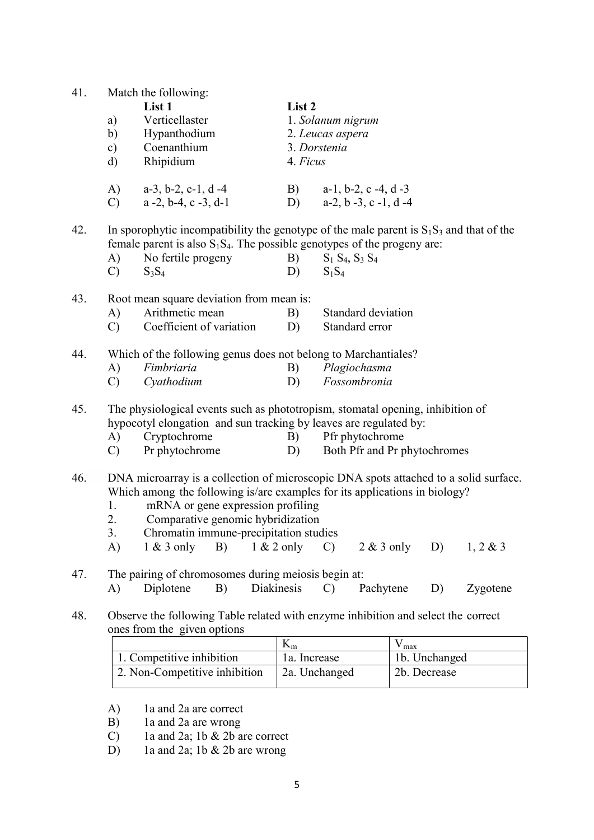| 41. | a)<br>b)<br>$\mathbf{c})$<br>$\mathbf{d}$ | Match the following:<br>List 1<br>Verticellaster<br>Hypanthodium<br>Coenanthium<br>Rhipidium                                                                                                                                                                                                                 | List 2<br>4. Ficus | 1. Solanum nigrum<br>2. Leucas aspera<br>3. Dorstenia |                                                          |                    |               |          |
|-----|-------------------------------------------|--------------------------------------------------------------------------------------------------------------------------------------------------------------------------------------------------------------------------------------------------------------------------------------------------------------|--------------------|-------------------------------------------------------|----------------------------------------------------------|--------------------|---------------|----------|
|     | A)<br>$\mathcal{C}$                       | $a-3$ , $b-2$ , $c-1$ , $d-4$<br>$a - 2$ , $b - 4$ , $c - 3$ , $d - 1$                                                                                                                                                                                                                                       | B)                 |                                                       | $a-1$ , $b-2$ , $c-4$ , $d-3$<br>D) $a-2, b-3, c-1, d-4$ |                    |               |          |
| 42. | A)<br>$\mathcal{C}$                       | In sporophytic incompatibility the genotype of the male parent is $S_1S_3$ and that of the<br>female parent is also $S_1S_4$ . The possible genotypes of the progeny are:<br>No fertile progeny<br>$S_3S_4$                                                                                                  | B)<br>D)           | $S_1 S_4$ , $S_3 S_4$<br>$S_1S_4$                     |                                                          |                    |               |          |
| 43. | A)<br>$\mathbf{C}$                        | Root mean square deviation from mean is:<br>Arithmetic mean<br>Coefficient of variation                                                                                                                                                                                                                      | B)<br>D)           |                                                       | Standard deviation<br>Standard error                     |                    |               |          |
| 44. | A)<br>$\mathcal{C}$                       | Which of the following genus does not belong to Marchantiales?<br>Fimbriaria<br>Cyathodium                                                                                                                                                                                                                   | B)<br>D)           |                                                       | Plagiochasma<br>Fossombronia                             |                    |               |          |
| 45. | A)<br>$\mathbf{C}$                        | The physiological events such as phototropism, stomatal opening, inhibition of<br>hypocotyl elongation and sun tracking by leaves are regulated by:<br>Cryptochrome<br>Pr phytochrome                                                                                                                        | D)                 |                                                       | B) Pfr phytochrome<br>Both Pfr and Pr phytochromes       |                    |               |          |
| 46. | 1.<br>2.<br>3.<br>A)                      | DNA microarray is a collection of microscopic DNA spots attached to a solid surface.<br>Which among the following is/are examples for its applications in biology?<br>mRNA or gene expression profiling<br>Comparative genomic hybridization<br>Chromatin immune-precipitation studies<br>$1 & 3$ only<br>B) | $1 & 2$ only       | $\mathcal{C}$                                         | $2 & 3$ only                                             |                    | D)            | 1, 2 & 3 |
| 47. | A)                                        | The pairing of chromosomes during meiosis begin at:<br>B)<br>Diplotene                                                                                                                                                                                                                                       | Diakinesis         | $\mathbf{C}$                                          | Pachytene                                                |                    | D)            | Zygotene |
| 48. |                                           | Observe the following Table related with enzyme inhibition and select the correct<br>ones from the given options                                                                                                                                                                                             |                    |                                                       |                                                          |                    |               |          |
|     |                                           |                                                                                                                                                                                                                                                                                                              | $K_m$              |                                                       |                                                          | $V_{\frac{max}{}}$ |               |          |
|     |                                           | 1. Competitive inhibition                                                                                                                                                                                                                                                                                    | 1a. Increase       |                                                       |                                                          |                    | 1b. Unchanged |          |
|     |                                           | 2. Non-Competitive inhibition                                                                                                                                                                                                                                                                                | 2a. Unchanged      |                                                       |                                                          |                    | 2b. Decrease  |          |

- 
- A) 1a and 2a are correct<br>B) 1a and 2a are wrong B) 1a and 2a are wrong
- C) 1a and 2a; 1b & 2b are correct
	- D) 1a and 2a; 1b & 2b are wrong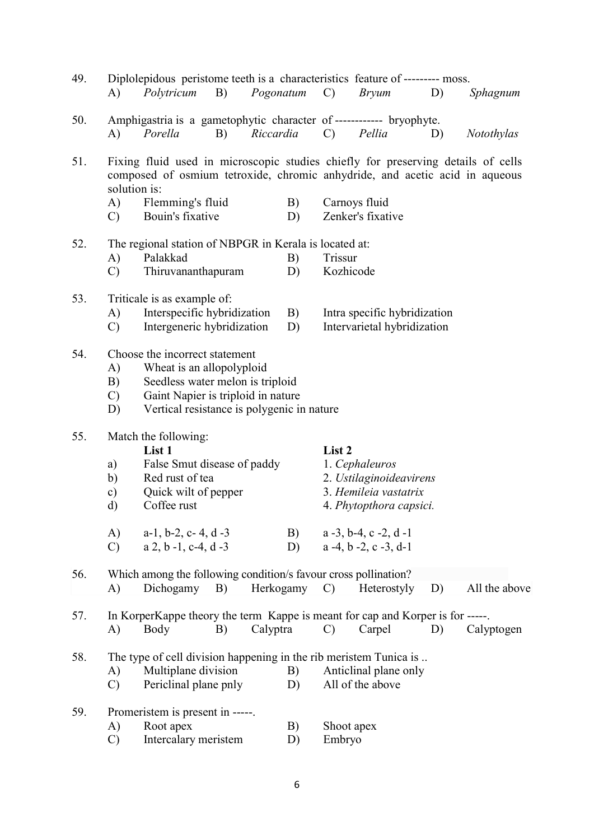| 49. | A)                  | Diplolepidous peristome teeth is a characteristics feature of --------- moss.<br>Polytricum                                                                                     | B) | Pogonatum | $\mathcal{C}$         | <b>Bryum</b>                          | D) | Sphagnum      |  |  |
|-----|---------------------|---------------------------------------------------------------------------------------------------------------------------------------------------------------------------------|----|-----------|-----------------------|---------------------------------------|----|---------------|--|--|
| 50. | A)                  | Amphigastria is a gametophytic character of ------------ bryophyte.<br>Porella                                                                                                  | B) | Riccardia | $\mathbf{C}$          | Pellia                                | D) | Notothylas    |  |  |
| 51. |                     | Fixing fluid used in microscopic studies chiefly for preserving details of cells<br>composed of osmium tetroxide, chromic anhydride, and acetic acid in aqueous<br>solution is: |    |           |                       |                                       |    |               |  |  |
|     | A)                  | Flemming's fluid                                                                                                                                                                |    | B)        |                       | Carnoys fluid                         |    |               |  |  |
|     | $\mathcal{C}$       | Bouin's fixative                                                                                                                                                                |    | D)        |                       | Zenker's fixative                     |    |               |  |  |
| 52. |                     | The regional station of NBPGR in Kerala is located at:                                                                                                                          |    |           |                       |                                       |    |               |  |  |
|     | A)                  | Palakkad                                                                                                                                                                        |    | B)        | Trissur               |                                       |    |               |  |  |
|     | $\mathcal{C}$       | Thiruvananthapuram                                                                                                                                                              |    | D)        | Kozhicode             |                                       |    |               |  |  |
| 53. |                     | Triticale is as example of:                                                                                                                                                     |    |           |                       |                                       |    |               |  |  |
|     | A)                  | Interspecific hybridization                                                                                                                                                     |    | B)        |                       | Intra specific hybridization          |    |               |  |  |
|     | $\mathcal{C}$       | Intergeneric hybridization                                                                                                                                                      |    | D)        |                       | Intervarietal hybridization           |    |               |  |  |
| 54. |                     | Choose the incorrect statement<br>Wheat is an allopolyploid                                                                                                                     |    |           |                       |                                       |    |               |  |  |
|     | A)                  |                                                                                                                                                                                 |    |           |                       |                                       |    |               |  |  |
|     | B)<br>$\mathcal{C}$ | Seedless water melon is triploid                                                                                                                                                |    |           |                       |                                       |    |               |  |  |
|     | D)                  | Gaint Napier is triploid in nature<br>Vertical resistance is polygenic in nature                                                                                                |    |           |                       |                                       |    |               |  |  |
| 55. |                     | Match the following:                                                                                                                                                            |    |           |                       |                                       |    |               |  |  |
|     |                     | List 1                                                                                                                                                                          |    |           | List 2                |                                       |    |               |  |  |
|     | a)                  | False Smut disease of paddy                                                                                                                                                     |    |           |                       | 1. Cephaleuros                        |    |               |  |  |
|     | b)                  | Red rust of tea                                                                                                                                                                 |    |           |                       | 2. Ustilaginoideavirens               |    |               |  |  |
|     | c)                  | Quick wilt of pepper                                                                                                                                                            |    |           | 3. Hemileia vastatrix |                                       |    |               |  |  |
|     | d)                  | Coffee rust                                                                                                                                                                     |    |           |                       | 4. Phytopthora capsici.               |    |               |  |  |
|     | A)                  | $a-1$ , b-2, c-4, d-3                                                                                                                                                           |    | B)        |                       | $a - 3$ , b-4, c -2, d -1             |    |               |  |  |
|     | $\mathbf{C}$        | $a$ 2, $b$ -1, $c$ -4, $d$ -3                                                                                                                                                   |    | D)        |                       | $a - 4$ , $b - 2$ , $c - 3$ , $d - 1$ |    |               |  |  |
| 56. |                     | Which among the following condition/s favour cross pollination?                                                                                                                 |    |           |                       |                                       |    |               |  |  |
|     | $\bf{A}$            | Dichogamy                                                                                                                                                                       | B) | Herkogamy | $\mathcal{C}$         | Heterostyly                           | D) | All the above |  |  |
| 57. |                     | In KorperKappe theory the term Kappe is meant for cap and Korper is for -----                                                                                                   |    |           |                       |                                       |    |               |  |  |
|     | $\mathbf{A}$        | Body                                                                                                                                                                            | B) | Calyptra  | $\mathcal{C}$         | Carpel                                | D) | Calyptogen    |  |  |
| 58. |                     | The type of cell division happening in the rib meristem Tunica is                                                                                                               |    |           |                       |                                       |    |               |  |  |
|     | A)                  | Multiplane division                                                                                                                                                             |    | B)        |                       | Anticlinal plane only                 |    |               |  |  |
|     | $\mathcal{C}$       | Periclinal plane pnly                                                                                                                                                           |    | D)        |                       | All of the above                      |    |               |  |  |
| 59. |                     | Promeristem is present in -----.                                                                                                                                                |    |           |                       |                                       |    |               |  |  |
|     | A)                  | Root apex                                                                                                                                                                       |    | B)        | Shoot apex            |                                       |    |               |  |  |
|     | $\mathcal{C}$       | Intercalary meristem                                                                                                                                                            |    | D)        | Embryo                |                                       |    |               |  |  |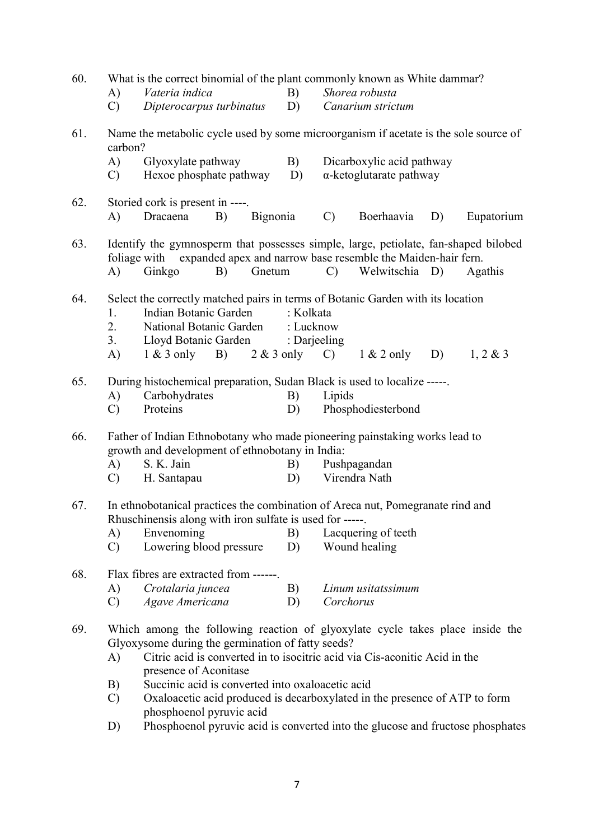| 60. | A)<br>$\mathcal{C}$                                                                                                                                                                                                                                                                                                                                                                                                                               | What is the correct binomial of the plant commonly known as White dammar?<br>Vateria indica<br>Shorea robusta<br>B)<br>Dipterocarpus turbinatus<br>D)<br>Canarium strictum                                    |          |                        |               |                                                              |    |             |
|-----|---------------------------------------------------------------------------------------------------------------------------------------------------------------------------------------------------------------------------------------------------------------------------------------------------------------------------------------------------------------------------------------------------------------------------------------------------|---------------------------------------------------------------------------------------------------------------------------------------------------------------------------------------------------------------|----------|------------------------|---------------|--------------------------------------------------------------|----|-------------|
| 61. | carbon?                                                                                                                                                                                                                                                                                                                                                                                                                                           | Name the metabolic cycle used by some microorganism if acetate is the sole source of                                                                                                                          |          |                        |               |                                                              |    |             |
|     | A)<br>$\mathcal{C}$                                                                                                                                                                                                                                                                                                                                                                                                                               | Glyoxylate pathway<br>Hexoe phosphate pathway                                                                                                                                                                 |          | B)<br>D)               |               | Dicarboxylic acid pathway<br>$\alpha$ -ketoglutarate pathway |    |             |
| 62. | A)                                                                                                                                                                                                                                                                                                                                                                                                                                                | Storied cork is present in ----.<br>Dracaena<br>B)                                                                                                                                                            | Bignonia |                        | $\mathcal{C}$ | Boerhaavia                                                   | D) | Eupatorium  |
| 63. | A)                                                                                                                                                                                                                                                                                                                                                                                                                                                | Identify the gymnosperm that possesses simple, large, petiolate, fan-shaped bilobed<br>foliage with expanded apex and narrow base resemble the Maiden-hair fern.<br>Ginkgo<br>B)                              | Gnetum   |                        | $\mathcal{C}$ | Welwitschia D)                                               |    | Agathis     |
| 64. | 1.<br>2.<br>3.<br>A)                                                                                                                                                                                                                                                                                                                                                                                                                              | Select the correctly matched pairs in terms of Botanic Garden with its location<br>Indian Botanic Garden<br>National Botanic Garden<br>Lloyd Botanic Garden : Darjeeling<br>$1 \& 3$ only B) $2 \& 3$ only C) |          | : Kolkata<br>: Lucknow |               | $1 & 2$ only                                                 | D) | $1, 2 \& 3$ |
| 65. | A)<br>$\mathcal{C}$                                                                                                                                                                                                                                                                                                                                                                                                                               | During histochemical preparation, Sudan Black is used to localize -----.<br>Carbohydrates<br>Proteins                                                                                                         |          | B)<br>D)               | Lipids        | Phosphodiesterbond                                           |    |             |
| 66. | A)<br>$\mathcal{C}$                                                                                                                                                                                                                                                                                                                                                                                                                               | Father of Indian Ethnobotany who made pioneering painstaking works lead to<br>growth and development of ethnobotany in India:<br>S. K. Jain<br>H. Santapau                                                    |          | B)<br>D)               |               | Pushpagandan<br>Virendra Nath                                |    |             |
| 67. |                                                                                                                                                                                                                                                                                                                                                                                                                                                   | In ethnobotanical practices the combination of Areca nut, Pomegranate rind and<br>Rhuschinensis along with iron sulfate is used for -----.                                                                    |          |                        |               |                                                              |    |             |
|     | A)<br>$\mathbf{C}$                                                                                                                                                                                                                                                                                                                                                                                                                                | Envenoming<br>Lowering blood pressure                                                                                                                                                                         |          | B)<br>D)               |               | Lacquering of teeth<br>Wound healing                         |    |             |
| 68. | Flax fibres are extracted from ------.                                                                                                                                                                                                                                                                                                                                                                                                            |                                                                                                                                                                                                               |          |                        |               |                                                              |    |             |
|     | A)<br>$\mathcal{C}$                                                                                                                                                                                                                                                                                                                                                                                                                               | Crotalaria juncea<br>Agave Americana                                                                                                                                                                          |          | B)<br>D)               |               | Linum usitatssimum                                           |    |             |
| 69. | Corchorus<br>Which among the following reaction of glyoxylate cycle takes place inside the<br>Glyoxysome during the germination of fatty seeds?<br>Citric acid is converted in to isocitric acid via Cis-aconitic Acid in the<br>A)<br>presence of Aconitase<br>Succinic acid is converted into oxaloacetic acid<br>B)<br>Oxaloacetic acid produced is decarboxylated in the presence of ATP to form<br>$\mathcal{C}$<br>phosphoenol pyruvic acid |                                                                                                                                                                                                               |          |                        |               |                                                              |    |             |
|     | D)                                                                                                                                                                                                                                                                                                                                                                                                                                                | Phosphoenol pyruvic acid is converted into the glucose and fructose phosphates                                                                                                                                |          |                        |               |                                                              |    |             |

7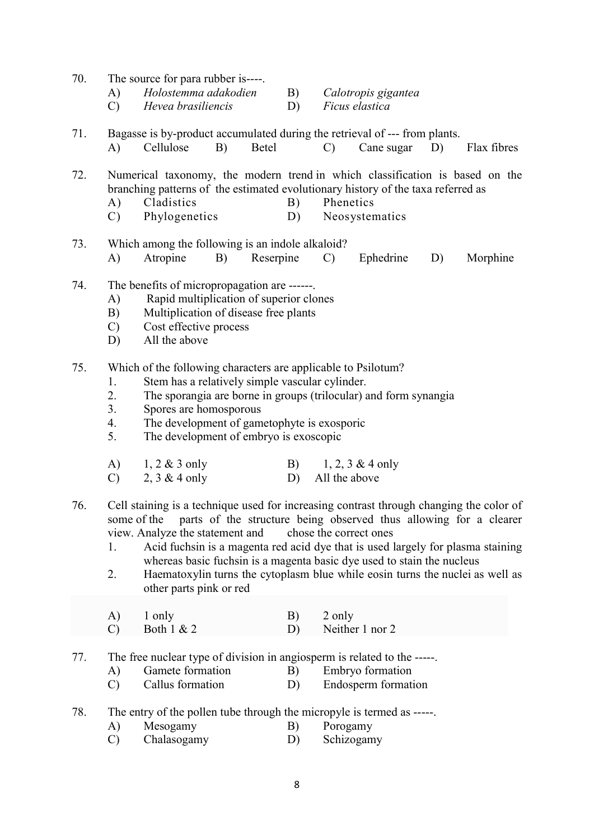- 70. The source for para rubber is----.
	- A) Holostemma adakodien B) Calotropis gigantea<br>C) Hevea brasiliencis D) Ficus elastica
	- $(C)$  Hevea brasiliencis  $(D)$
- 71. Bagasse is by-product accumulated during the retrieval of --- from plants. A) Cellulose B) Betel C) Cane sugar D) Flax fibres

72. Numerical taxonomy, the modern trend in which classification is based on the branching patterns of the estimated evolutionary history of the taxa referred as

- A) Cladistics B) Phenetics
- C) Phylogenetics D) Neosystematics
- 73. Which among the following is an indole alkaloid? A) Atropine B) Reserpine C) Ephedrine D) Morphine
- 74. The benefits of micropropagation are ------.
	- A) Rapid multiplication of superior clones
	- B) Multiplication of disease free plants
	- C) Cost effective process
	- D) All the above
- 75. Which of the following characters are applicable to Psilotum?
	- 1. Stem has a relatively simple vascular cylinder.
	- 2. The sporangia are borne in groups (trilocular) and form synangia
	- 3. Spores are homosporous
	- 4. The development of gametophyte is exosporic
	- 5. The development of embryo is exoscopic

| A) $1, 2 \& 3$ only | B) $1, 2, 3 \& 4$ only |
|---------------------|------------------------|
| C) 2, 3 & 4 only    | D) All the above       |

- 76. Cell staining is a technique used for increasing contrast through changing the color of some of the parts of the structure being observed thus allowing for a clearer view. Analyze the statement and chose the correct ones
	- 1. Acid fuchsin is a magenta red acid dye that is used largely for plasma staining whereas basic fuchsin is a magenta basic dye used to stain the nucleus
	- 2. Haematoxylin turns the cytoplasm blue while eosin turns the nuclei as well as other parts pink or red

| $A)$ 1 only  | $\mathbf{B}$ 2 only |
|--------------|---------------------|
| Both $1 & 2$ | Neither 1 nor 2     |

- 77. The free nuclear type of division in angiosperm is related to the -----.
	- A) Gamete formation B) Embryo formation
	- C) Callus formation D) Endosperm formation
- 78. The entry of the pollen tube through the micropyle is termed as -----.
	- A) Mesogamy B) Porogamy
	- C) Chalasogamy D) Schizogamy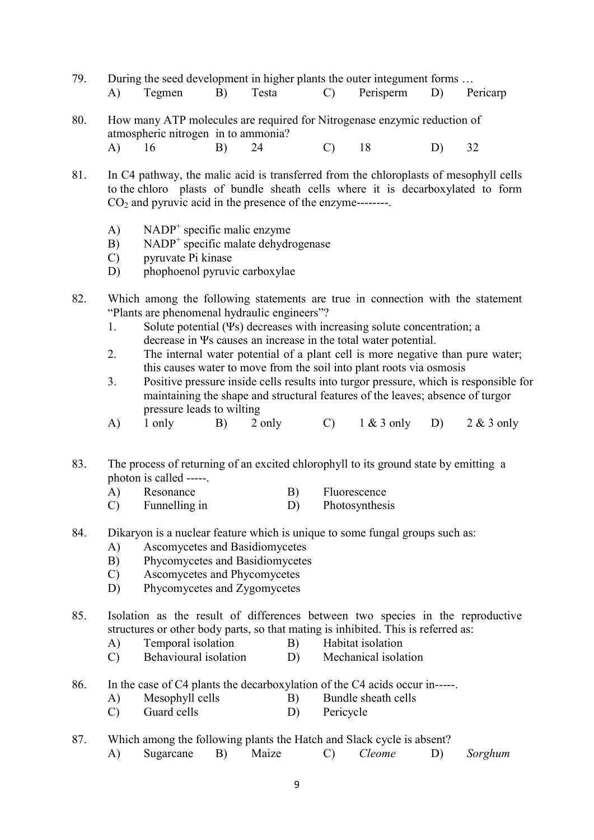- 79. During the seed development in higher plants the outer integument forms … A) Tegmen B) Testa C) Perisperm D) Pericarp
- 80. How many ATP molecules are required for Nitrogenase enzymic reduction of atmospheric nitrogen in to ammonia? A) 16 B) 24 C) 18 D) 32
- 81. In C4 pathway, the malic acid is transferred from the chloroplasts of mesophyll cells to the chloro plasts of bundle sheath cells where it is decarboxylated to form  $CO<sub>2</sub>$  and pyruvic acid in the presence of the enzyme--------.
- $A)$  NADP<sup>+</sup> specific malic enzyme
- B) NADP<sup>+</sup> specific malate dehydrogenase
	- C) pyruvate Pi kinase
	- D) phophoenol pyruvic carboxylae
- 82. Which among the following statements are true in connection with the statement "Plants are phenomenal hydraulic engineers"?
	- 1. Solute potential (Ψs) decreases with increasing solute concentration; a decrease in Ψs causes an increase in the total water potential.
	- 2. The internal water potential of a plant cell is more negative than pure water; this causes water to move from the soil into plant roots via osmosis
	- 3. Positive pressure inside cells results into turgor pressure, which is responsible for maintaining the shape and structural features of the leaves; absence of turgor pressure leads to wilting
	- A) 1 only B) 2 only C) 1 & 3 only D) 2 & 3 only
- 83. The process of returning of an excited chlorophyll to its ground state by emitting a photon is called -----.
	- A) Resonance B) Fluorescence
	- C) Funnelling in D) Photosynthesis
- 84. Dikaryon is a nuclear feature which is unique to some fungal groups such as:
	- A) Ascomycetes and Basidiomycetes
	- B) Phycomycetes and Basidiomycetes
	- C) Ascomycetes and Phycomycetes
	- D) Phycomycetes and Zygomycetes

85. Isolation as the result of differences between two species in the reproductive structures or other body parts, so that mating is inhibited. This is referred as:

- A) Temporal isolation B) Habitat isolation
- C) Behavioural isolation D) Mechanical isolation
- 86. In the case of C4 plants the decarboxylation of the C4 acids occur in-----.
	- A) Mesophyll cells B) Bundle sheath cells
	- C) Guard cells D) Pericycle

# 87. Which among the following plants the Hatch and Slack cycle is absent?

A) Sugarcane B) Maize C) Cleome D) Sorghum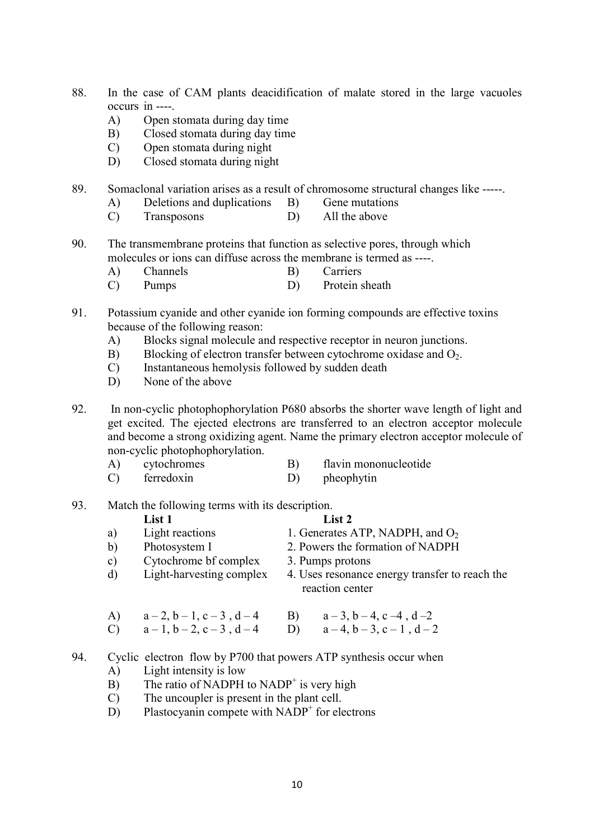- 88. In the case of CAM plants deacidification of malate stored in the large vacuoles occurs in ----.
	- A) Open stomata during day time
	- B) Closed stomata during day time
	- C) Open stomata during night
	- D) Closed stomata during night

89. Somaclonal variation arises as a result of chromosome structural changes like -----.

- A) Deletions and duplications B) Gene mutations
- C) Transposons D) All the above
- 90. The transmembrane proteins that function as selective pores, through which molecules or ions can diffuse across the membrane is termed as ----.
	- A) Channels B) Carriers
	- C) Pumps D) Protein sheath
- 91. Potassium cyanide and other cyanide ion forming compounds are effective toxins because of the following reason:
	- A) Blocks signal molecule and respective receptor in neuron junctions.
	- B) Blocking of electron transfer between cytochrome oxidase and  $O_2$ .
	- C) Instantaneous hemolysis followed by sudden death
	- D) None of the above
- 92. In non-cyclic photophophorylation P680 absorbs the shorter wave length of light and get excited. The ejected electrons are transferred to an electron acceptor molecule and become a strong oxidizing agent. Name the primary electron acceptor molecule of non-cyclic photophophorylation.
	- A) cytochromes B) flavin mononucleotide C) ferredoxin D) pheophytin

### 93. Match the following terms with its description.

|               | List 1                                                | List 2                                                                     |
|---------------|-------------------------------------------------------|----------------------------------------------------------------------------|
| a)            | Light reactions                                       | 1. Generates ATP, NADPH, and $O_2$                                         |
| b)            | Photosystem I                                         | 2. Powers the formation of NADPH                                           |
| $\mathbf{c})$ | Cytochrome bf complex                                 | 3. Pumps protons                                                           |
| d)            | Light-harvesting complex                              | 4. Uses resonance energy transfer to reach the<br>reaction center          |
| A)            | $a-2$ , $b-1$ , $c-3$ , $d-4$<br>$a-1, b-2, c-3, d-4$ | $a-3$ , $b-4$ , $c-4$ , $d-2$<br>B)<br>$a-4$ , $b-3$ , $c-1$ , $d-2$<br>D) |

### 94. Cyclic electron flow by P700 that powers ATP synthesis occur when

- A) Light intensity is low
- $\overrightarrow{B}$  The ratio of NADPH to NADP<sup>+</sup> is very high
	- C) The uncoupler is present in the plant cell.
- $\overrightarrow{D}$  Plastocyanin compete with NADP<sup>+</sup> for electrons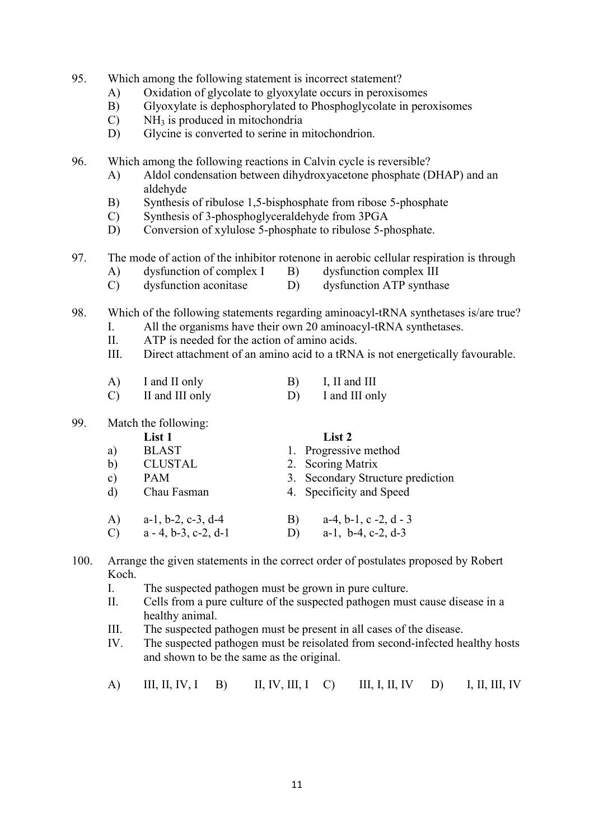- 95. Which among the following statement is incorrect statement?
	- A) Oxidation of glycolate to glyoxylate occurs in peroxisomes
	- B) Glyoxylate is dephosphorylated to Phosphoglycolate in peroxisomes
	- $C$ ) NH<sub>3</sub> is produced in mitochondria
	- D) Glycine is converted to serine in mitochondrion.

96. Which among the following reactions in Calvin cycle is reversible?

- A) Aldol condensation between dihydroxyacetone phosphate (DHAP) and an aldehyde
- B) Synthesis of ribulose 1,5-bisphosphate from ribose 5-phosphate
- C) Synthesis of 3-phosphoglyceraldehyde from 3PGA
- D) Conversion of xylulose 5-phosphate to ribulose 5-phosphate.

### 97. The mode of action of the inhibitor rotenone in aerobic cellular respiration is through

- A) dysfunction of complex I B) dysfunction complex III
- C) dysfunction aconitase D) dysfunction ATP synthase

### 98. Which of the following statements regarding aminoacyl-tRNA synthetases is/are true?

- I. All the organisms have their own 20 aminoacyl-tRNA synthetases.
- II. ATP is needed for the action of amino acids.
- III. Direct attachment of an amino acid to a tRNA is not energetically favourable.

| I and II only | I, II and III |
|---------------|---------------|
|               |               |

C) II and III only D) I and III only

### 99. Match the following:

|               | List 1                        | List 2                                        |
|---------------|-------------------------------|-----------------------------------------------|
| a)            | <b>BLAST</b>                  | 1. Progressive method                         |
| b)            | <b>CLUSTAL</b>                | 2. Scoring Matrix                             |
| $\mathbf{c})$ | <b>PAM</b>                    | 3. Secondary Structure prediction             |
| d)            | Chau Fasman                   | 4. Specificity and Speed                      |
| A)            | $a-1$ , $b-2$ , $c-3$ , $d-4$ | $a-4$ , $b-1$ , $c-2$ , $d-3$<br>$\mathbf{B}$ |
| $\bigcirc$    | $a - 4$ , b-3, c-2, d-1       | $a-1$ , $b-4$ , $c-2$ , $d-3$<br>D)           |

- 100. Arrange the given statements in the correct order of postulates proposed by Robert Koch.
	- I. The suspected pathogen must be grown in pure culture.
	- II. Cells from a pure culture of the suspected pathogen must cause disease in a healthy animal.
	- III. The suspected pathogen must be present in all cases of the disease.
	- IV. The suspected pathogen must be reisolated from second-infected healthy hosts and shown to be the same as the original.
	- A) III, II, IV, I B) II, IV, III, I C) III, I, II, IV D) I, II, III, IV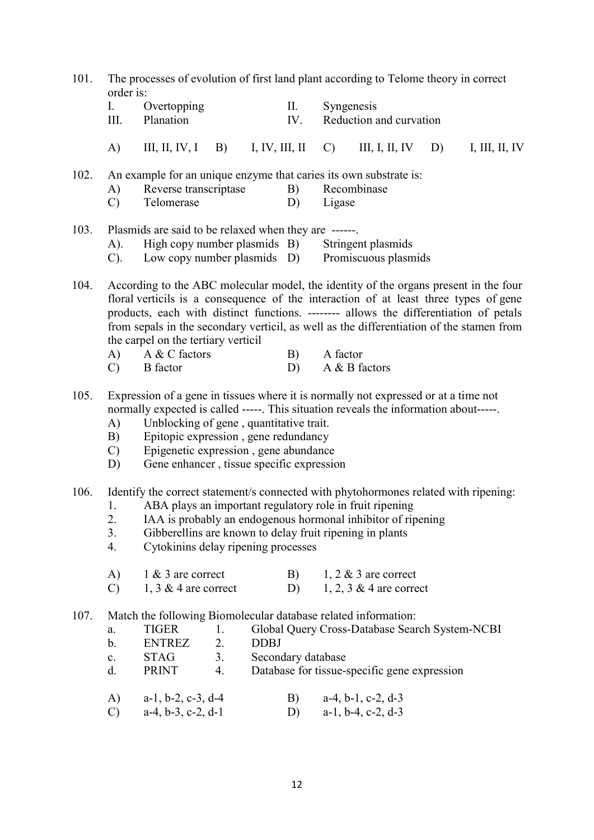| 101. | The processes of evolution of first land plant according to Telome theory in correct<br>order is:                                                                                                                                                                                                                                                                                                        |                                                                                                                                                                                                                                                                                                                                                       |                      |             |                    |               |                                                                                                |    |                |
|------|----------------------------------------------------------------------------------------------------------------------------------------------------------------------------------------------------------------------------------------------------------------------------------------------------------------------------------------------------------------------------------------------------------|-------------------------------------------------------------------------------------------------------------------------------------------------------------------------------------------------------------------------------------------------------------------------------------------------------------------------------------------------------|----------------------|-------------|--------------------|---------------|------------------------------------------------------------------------------------------------|----|----------------|
|      | I.<br>III.                                                                                                                                                                                                                                                                                                                                                                                               | Overtopping<br>Planation                                                                                                                                                                                                                                                                                                                              |                      |             | II.<br>IV.         | Syngenesis    | Reduction and curvation                                                                        |    |                |
|      | A)                                                                                                                                                                                                                                                                                                                                                                                                       | III, II, IV, I B) I, IV, III, II                                                                                                                                                                                                                                                                                                                      |                      |             |                    | $\mathcal{C}$ | III, I, II, IV                                                                                 | D) | I, III, II, IV |
| 102. | A)<br>$\mathcal{C}$                                                                                                                                                                                                                                                                                                                                                                                      | An example for an unique enzyme that caries its own substrate is:<br>Reverse transcriptase<br>Telomerase                                                                                                                                                                                                                                              |                      |             | B)<br>D)           | Ligase        | Recombinase                                                                                    |    |                |
| 103. | A).<br>$C$ ).                                                                                                                                                                                                                                                                                                                                                                                            | Plasmids are said to be relaxed when they are ------<br>High copy number plasmids B)<br>Low copy number plasmids D)                                                                                                                                                                                                                                   |                      |             |                    |               | Stringent plasmids<br>Promiscuous plasmids                                                     |    |                |
| 104. | According to the ABC molecular model, the identity of the organs present in the four<br>floral verticils is a consequence of the interaction of at least three types of gene<br>products, each with distinct functions. -------- allows the differentiation of petals<br>from sepals in the secondary verticil, as well as the differentiation of the stamen from<br>the carpel on the tertiary verticil |                                                                                                                                                                                                                                                                                                                                                       |                      |             |                    |               |                                                                                                |    |                |
|      | A)<br>$\mathcal{C}$                                                                                                                                                                                                                                                                                                                                                                                      | A & C factors<br><b>B</b> factor                                                                                                                                                                                                                                                                                                                      |                      |             | B)<br>D)           | A factor      | A & B factors                                                                                  |    |                |
| 105. | A)<br>B)<br>$\mathcal{C}$<br>D)                                                                                                                                                                                                                                                                                                                                                                          | Expression of a gene in tissues where it is normally not expressed or at a time not<br>normally expected is called -----. This situation reveals the information about-----.<br>Unblocking of gene, quantitative trait.<br>Epitopic expression, gene redundancy<br>Epigenetic expression, gene abundance<br>Gene enhancer, tissue specific expression |                      |             |                    |               |                                                                                                |    |                |
| 106. | 1.<br>2.<br>3.<br>4.                                                                                                                                                                                                                                                                                                                                                                                     | Identify the correct statement/s connected with phytohormones related with ripening:<br>ABA plays an important regulatory role in fruit ripening<br>IAA is probably an endogenous hormonal inhibitor of ripening<br>Gibberellins are known to delay fruit ripening in plants<br>Cytokinins delay ripening processes                                   |                      |             |                    |               |                                                                                                |    |                |
|      | A)<br>$\mathcal{C}$                                                                                                                                                                                                                                                                                                                                                                                      | 1 & 3 are correct<br>1, 3 & 4 are correct                                                                                                                                                                                                                                                                                                             |                      |             | B)<br>D)           |               | $1, 2 \& 3$ are correct<br>$1, 2, 3 \& 4$ are correct                                          |    |                |
| 107. | a.<br>b.<br>$\mathbf{c}$ .<br>d.                                                                                                                                                                                                                                                                                                                                                                         | Match the following Biomolecular database related information:<br><b>TIGER</b><br><b>ENTREZ</b><br>STAG<br>PRINT                                                                                                                                                                                                                                      | 1.<br>2.<br>3.<br>4. | <b>DDBJ</b> | Secondary database |               | Global Query Cross-Database Search System-NCBI<br>Database for tissue-specific gene expression |    |                |
|      | A)<br>$\mathcal{C}$                                                                                                                                                                                                                                                                                                                                                                                      | $a-1$ , $b-2$ , $c-3$ , $d-4$<br>$a-4$ , $b-3$ , $c-2$ , $d-1$                                                                                                                                                                                                                                                                                        |                      |             | B)<br>D)           |               | $a-4$ , $b-1$ , $c-2$ , $d-3$<br>$a-1$ , $b-4$ , $c-2$ , $d-3$                                 |    |                |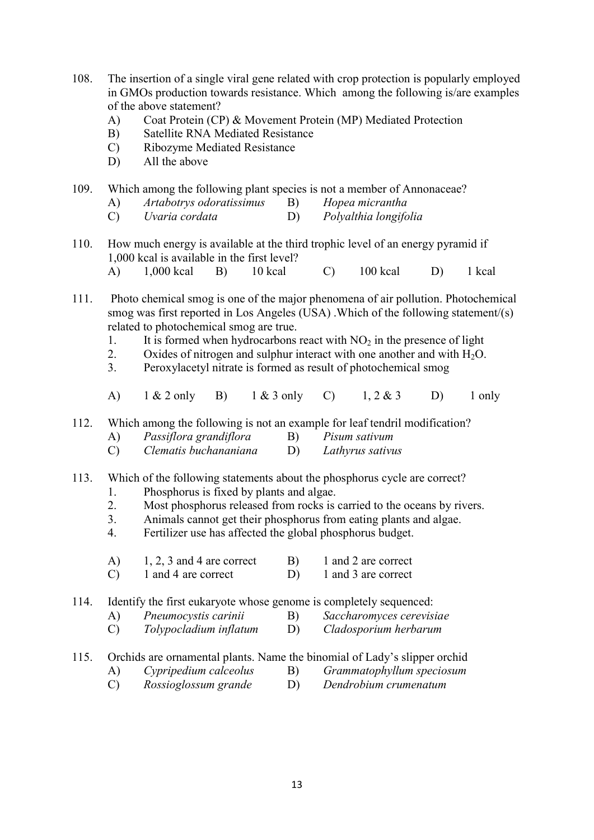- 108. The insertion of a single viral gene related with crop protection is popularly employed in GMOs production towards resistance. Which among the following is/are examples of the above statement?
	- A) Coat Protein (CP) & Movement Protein (MP) Mediated Protection
	- B) Satellite RNA Mediated Resistance
	- C) Ribozyme Mediated Resistance
	- D) All the above

109. Which among the following plant species is not a member of Annonaceae?

- A) Artabotrys odoratissimus B) Hopea micrantha
- C) Uvaria cordata D) Polyalthia longifolia
- 110. How much energy is available at the third trophic level of an energy pyramid if 1,000 kcal is available in the first level? A) 1,000 kcal B) 10 kcal C) 100 kcal D) 1 kcal

111. Photo chemical smog is one of the major phenomena of air pollution. Photochemical smog was first reported in Los Angeles (USA) .Which of the following statement/(s) related to photochemical smog are true.

- 1. It is formed when hydrocarbons react with  $NO<sub>2</sub>$  in the presence of light
- 2. Oxides of nitrogen and sulphur interact with one another and with  $H_2O$ .
- 3. Peroxylacetyl nitrate is formed as result of photochemical smog
- A) 1 & 2 only B) 1 & 3 only C) 1, 2 & 3 D) 1 only

112. Which among the following is not an example for leaf tendril modification?

- A) Passiflora grandiflora B) Pisum sativum
- C) Clematis buchananiana D) Lathyrus sativus

### 113. Which of the following statements about the phosphorus cycle are correct?

- 1. Phosphorus is fixed by plants and algae.
- 2. Most phosphorus released from rocks is carried to the oceans by rivers.
- 3. Animals cannot get their phosphorus from eating plants and algae.
- 4. Fertilizer use has affected the global phosphorus budget.
- A)  $1, 2, 3$  and 4 are correct B) 1 and 2 are correct
- C) 1 and 4 are correct D) 1 and 3 are correct

114. Identify the first eukaryote whose genome is completely sequenced:

- A) Pneumocystis carinii B) Saccharomyces cerevisiae
- C) Tolypocladium inflatum D) Cladosporium herbarum

## 115. Orchids are ornamental plants. Name the binomial of Lady's slipper orchid

- A) Cypripedium calceolus B) Grammatophyllum speciosum
- C) Rossioglossum grande D) Dendrobium crumenatum